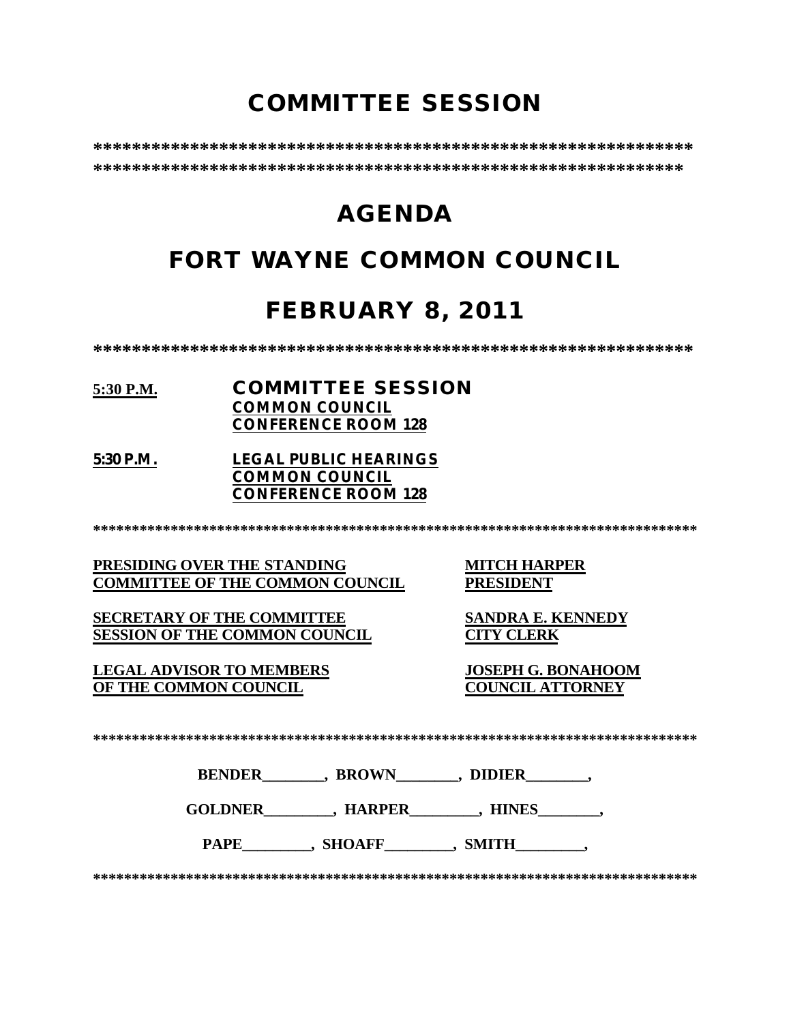# **COMMITTEE SESSION**

**\*\*\*\*\*\*\*\*\*\*\*\*\*\*\*\*\*\*\*\*\*\*\*\*\*\*\*\*\*\*\*\*\*\*\*\*\*\*\*\*\*\*\*\*\*\*\*\*\*\*\*\*\*\*\*\*\*\*\*\*\*\* \*\*\*\*\*\*\*\*\*\*\*\*\*\*\*\*\*\*\*\*\*\*\*\*\*\*\*\*\*\*\*\*\*\*\*\*\*\*\*\*\*\*\*\*\*\*\*\*\*\*\*\*\*\*\*\*\*\*\*\*\***

# **AGENDA**

# **FORT WAYNE COMMON COUNCIL**

# **FEBRUARY 8, 2011**

**\*\*\*\*\*\*\*\*\*\*\*\*\*\*\*\*\*\*\*\*\*\*\*\*\*\*\*\*\*\*\*\*\*\*\*\*\*\*\*\*\*\*\*\*\*\*\*\*\*\*\*\*\*\*\*\*\*\*\*\*\*\***

### **5:30 P.M. COMMITTEE SESSION COMMON COUNCIL CONFERENCE ROOM 128**

**5:30 P.M. LEGAL PUBLIC HEARINGS COMMON COUNCIL CONFERENCE ROOM 128**

**\*\*\*\*\*\*\*\*\*\*\*\*\*\*\*\*\*\*\*\*\*\*\*\*\*\*\*\*\*\*\*\*\*\*\*\*\*\*\*\*\*\*\*\*\*\*\*\*\*\*\*\*\*\*\*\*\*\*\*\*\*\*\*\*\*\*\*\*\*\*\*\*\*\*\*\*\*\***

**PRESIDING OVER THE STANDING MITCH HARPER<br>
COMMITTEE OF THE COMMON COUNCIL PRESIDENT COMMITTEE OF THE COMMON COUNCIL** 

**SECRETARY OF THE COMMITTEE SANDRA E. KENNEDY SESSION OF THE COMMON COUNCIL CITY CLERK**

**LEGAL ADVISOR TO MEMBERS JOSEPH G. BONAHOOM OF THE COMMON COUNCIL** 

**\*\*\*\*\*\*\*\*\*\*\*\*\*\*\*\*\*\*\*\*\*\*\*\*\*\*\*\*\*\*\*\*\*\*\*\*\*\*\*\*\*\*\*\*\*\*\*\*\*\*\*\*\*\*\*\*\*\*\*\*\*\*\*\*\*\*\*\*\*\*\*\*\*\*\*\*\*\***

**BENDER\_\_\_\_\_\_\_\_, BROWN\_\_\_\_\_\_\_\_, DIDIER\_\_\_\_\_\_\_\_,** 

**GOLDNER\_\_\_\_\_\_\_\_\_, HARPER\_\_\_\_\_\_\_\_\_, HINES\_\_\_\_\_\_\_\_,** 

PAPE \_\_\_\_\_\_\_, SHOAFF\_\_\_\_\_\_\_\_, SMITH\_\_\_\_\_\_\_\_,

**\*\*\*\*\*\*\*\*\*\*\*\*\*\*\*\*\*\*\*\*\*\*\*\*\*\*\*\*\*\*\*\*\*\*\*\*\*\*\*\*\*\*\*\*\*\*\*\*\*\*\*\*\*\*\*\*\*\*\*\*\*\*\*\*\*\*\*\*\*\*\*\*\*\*\*\*\*\***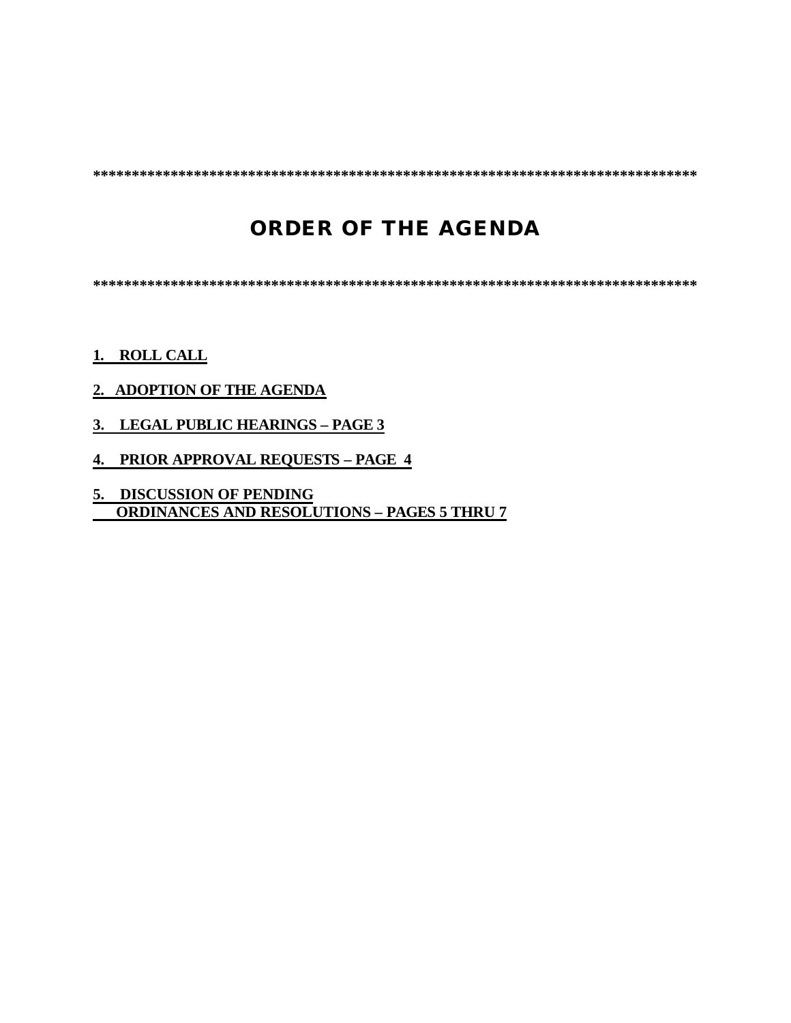**\*\*\*\*\*\*\*\*\*\*\*\*\*\*\*\*\*\*\*\*\*\*\*\*\*\*\*\*\*\*\*\*\*\*\*\*\*\*\*\*\*\*\*\*\*\*\*\*\*\*\*\*\*\*\*\*\*\*\*\*\*\*\*\*\*\*\*\*\*\*\*\*\*\*\*\*\*\***

# **ORDER OF THE AGENDA**

**\*\*\*\*\*\*\*\*\*\*\*\*\*\*\*\*\*\*\*\*\*\*\*\*\*\*\*\*\*\*\*\*\*\*\*\*\*\*\*\*\*\*\*\*\*\*\*\*\*\*\*\*\*\*\*\*\*\*\*\*\*\*\*\*\*\*\*\*\*\*\*\*\*\*\*\*\*\***

### **1. ROLL CALL**

### **2. ADOPTION OF THE AGENDA**

- **3. LEGAL PUBLIC HEARINGS PAGE 3**
- **4. PRIOR APPROVAL REQUESTS PAGE 4**
- **5. DISCUSSION OF PENDING ORDINANCES AND RESOLUTIONS – PAGES 5 THRU 7**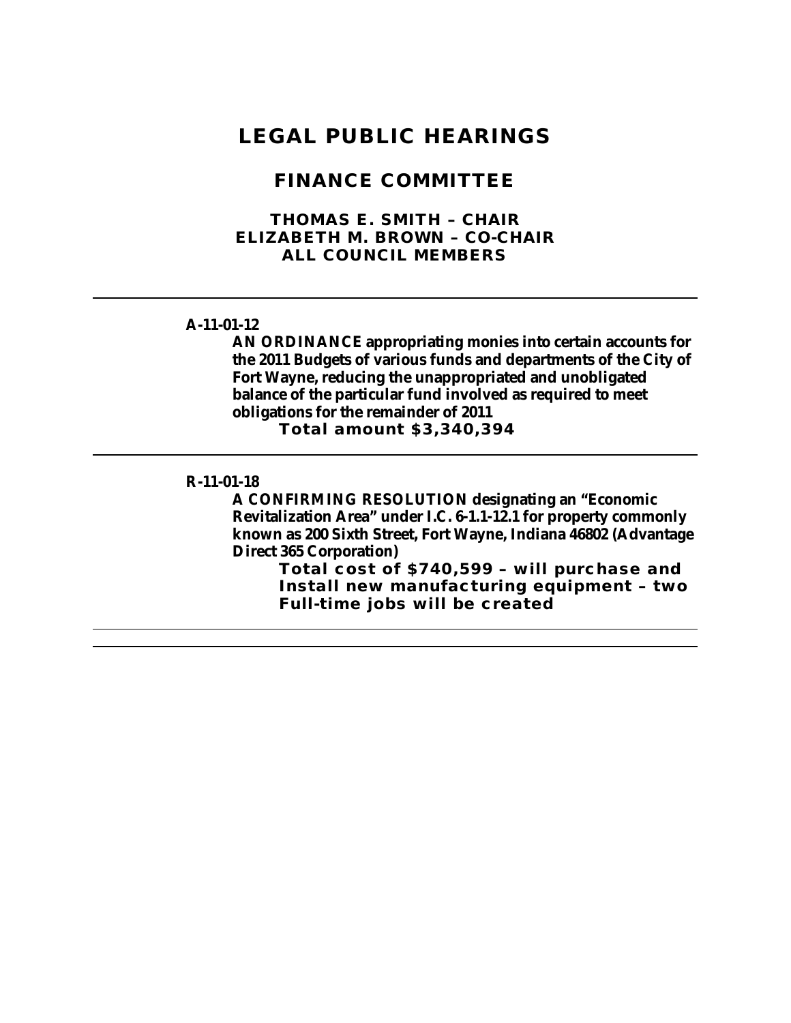## **LEGAL PUBLIC HEARINGS**

### **FINANCE COMMITTEE**

### **THOMAS E. SMITH – CHAIR ELIZABETH M. BROWN – CO-CHAIR ALL COUNCIL MEMBERS**

#### **A-11-01-12**

**AN ORDINANCE appropriating monies into certain accounts for the 2011 Budgets of various funds and departments of the City of Fort Wayne, reducing the unappropriated and unobligated balance of the particular fund involved as required to meet obligations for the remainder of 2011**

**Total amount \$3,340,394**

#### **R-11-01-18**

**A CONFIRMING RESOLUTION designating an "Economic Revitalization Area" under I.C. 6-1.1-12.1 for property commonly known as 200 Sixth Street, Fort Wayne, Indiana 46802 (Advantage Direct 365 Corporation)**

**Total cost of \$740,599 – will purchase and Install new manufacturing equipment – two Full-time jobs will be created**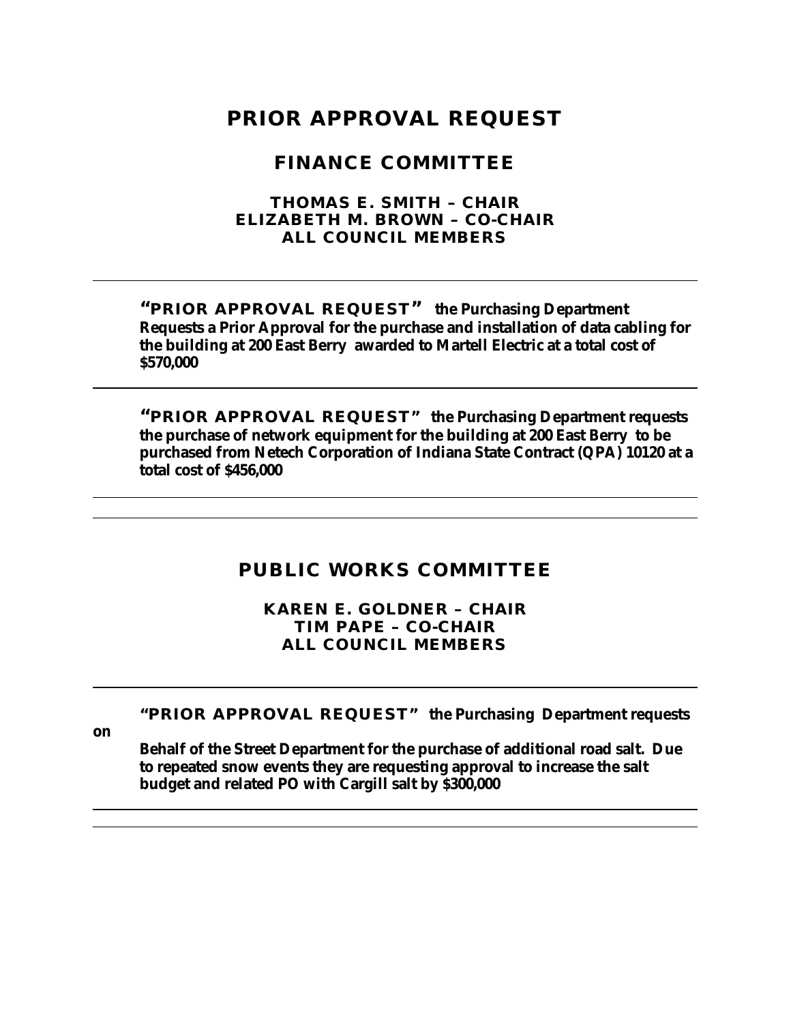# **PRIOR APPROVAL REQUEST**

### **FINANCE COMMITTEE**

### **THOMAS E. SMITH – CHAIR ELIZABETH M. BROWN – CO-CHAIR ALL COUNCIL MEMBERS**

**"PRIOR APPROVAL REQUEST" the Purchasing Department Requests a Prior Approval for the purchase and installation of data cabling for the building at 200 East Berry awarded to Martell Electric at a total cost of \$570,000**

**"PRIOR APPROVAL REQUEST" the Purchasing Department requests the purchase of network equipment for the building at 200 East Berry to be purchased from Netech Corporation of Indiana State Contract (QPA) 10120 at a total cost of \$456,000** 

### **PUBLIC WORKS COMMITTEE**

**KAREN E. GOLDNER – CHAIR TIM PAPE – CO-CHAIR ALL COUNCIL MEMBERS**

### **"PRIOR APPROVAL REQUEST" the Purchasing Department requests**

**on** 

**Behalf of the Street Department for the purchase of additional road salt. Due to repeated snow events they are requesting approval to increase the salt budget and related PO with Cargill salt by \$300,000**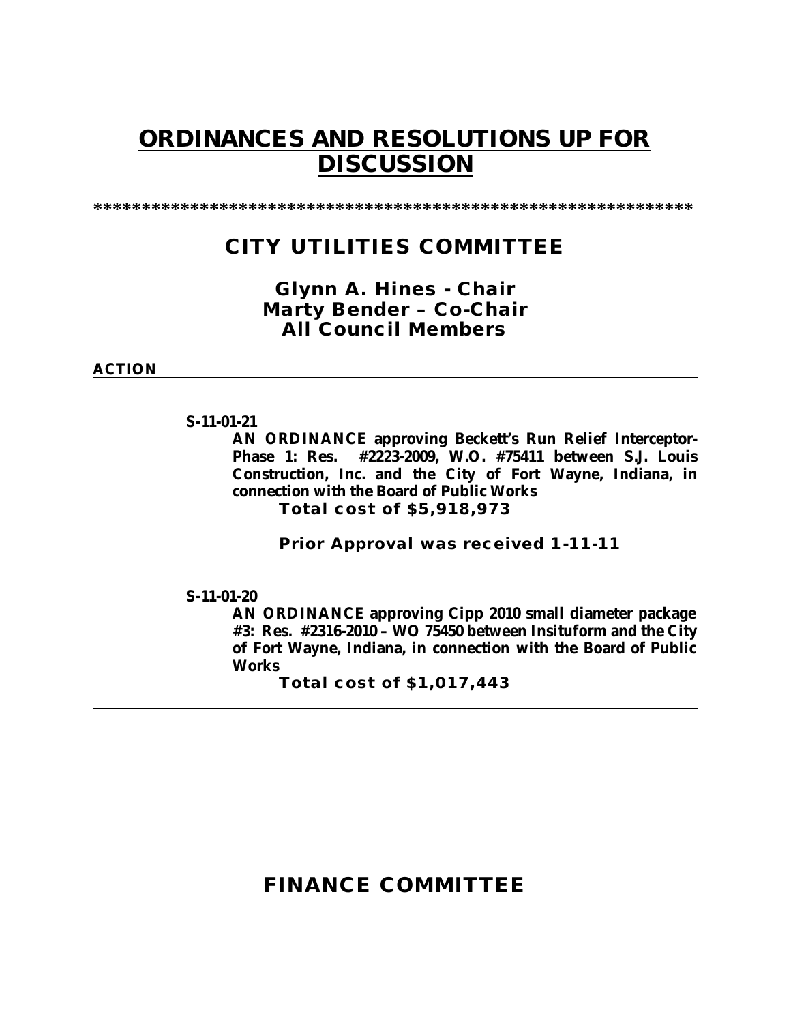# **ORDINANCES AND RESOLUTIONS UP FOR DISCUSSION**

**\*\*\*\*\*\*\*\*\*\*\*\*\*\*\*\*\*\*\*\*\*\*\*\*\*\*\*\*\*\*\*\*\*\*\*\*\*\*\*\*\*\*\*\*\*\*\*\*\*\*\*\*\*\*\*\*\*\*\*\*\*\***

# **CITY UTILITIES COMMITTEE**

### *Glynn A. Hines - Chair Marty Bender – Co-Chair All Council Members*

### **ACTION**

### **S-11-01-21**

**AN ORDINANCE approving Beckett's Run Relief Interceptor-Phase 1: Res. #2223-2009, W.O. #75411 between S.J. Louis Construction, Inc. and the City of Fort Wayne, Indiana, in connection with the Board of Public Works Total cost of \$5,918,973** 

**Prior Approval was received 1-11-11**

### **S-11-01-20**

**AN ORDINANCE approving Cipp 2010 small diameter package #3: Res. #2316-2010 – WO 75450 between Insituform and the City of Fort Wayne, Indiana, in connection with the Board of Public Works**

**Total cost of \$1,017,443**

# **FINANCE COMMITTEE**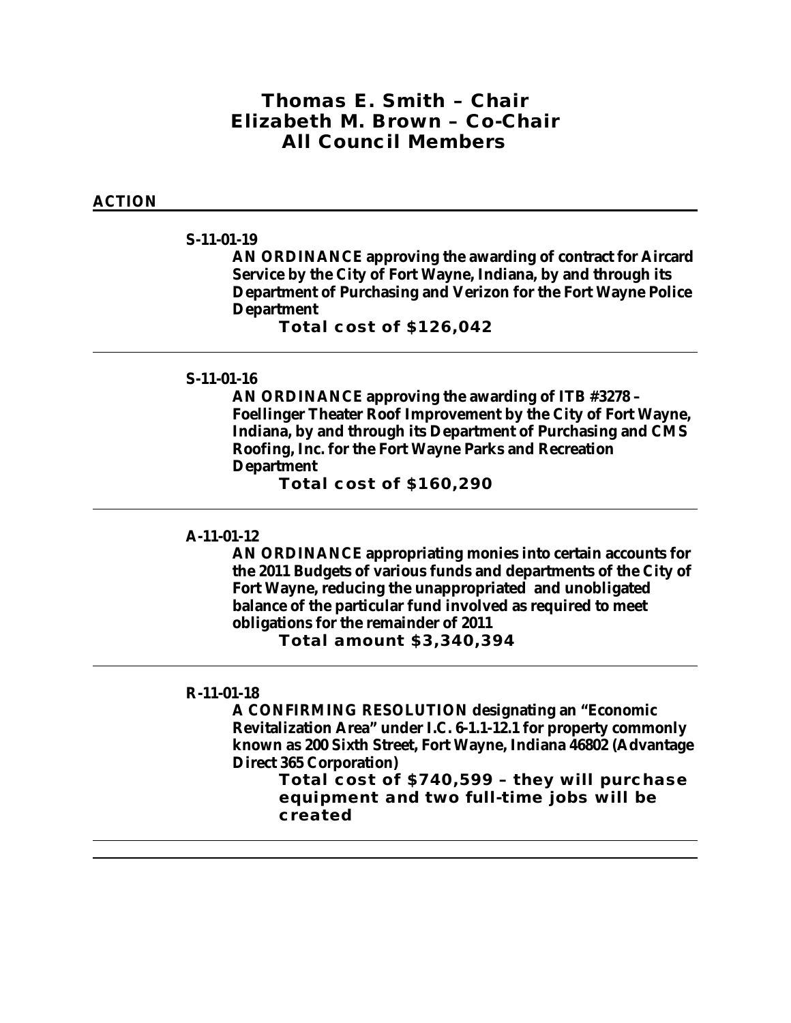### *Thomas E. Smith – Chair Elizabeth M. Brown – Co-Chair All Council Members*

### **ACTION**

#### **S-11-01-19**

**AN ORDINANCE approving the awarding of contract for Aircard Service by the City of Fort Wayne, Indiana, by and through its Department of Purchasing and Verizon for the Fort Wayne Police Department**

**Total cost of \$126,042**

### **S-11-01-16**

**AN ORDINANCE approving the awarding of ITB #3278 – Foellinger Theater Roof Improvement by the City of Fort Wayne, Indiana, by and through its Department of Purchasing and CMS Roofing, Inc. for the Fort Wayne Parks and Recreation Department** 

**Total cost of \$160,290**

#### **A-11-01-12**

**AN ORDINANCE appropriating monies into certain accounts for the 2011 Budgets of various funds and departments of the City of Fort Wayne, reducing the unappropriated and unobligated balance of the particular fund involved as required to meet obligations for the remainder of 2011**

**Total amount \$3,340,394**

#### **R-11-01-18**

**A CONFIRMING RESOLUTION designating an "Economic Revitalization Area" under I.C. 6-1.1-12.1 for property commonly known as 200 Sixth Street, Fort Wayne, Indiana 46802 (Advantage Direct 365 Corporation)**

**Total cost of \$740,599 – they will purchase equipment and two full-time jobs will be created**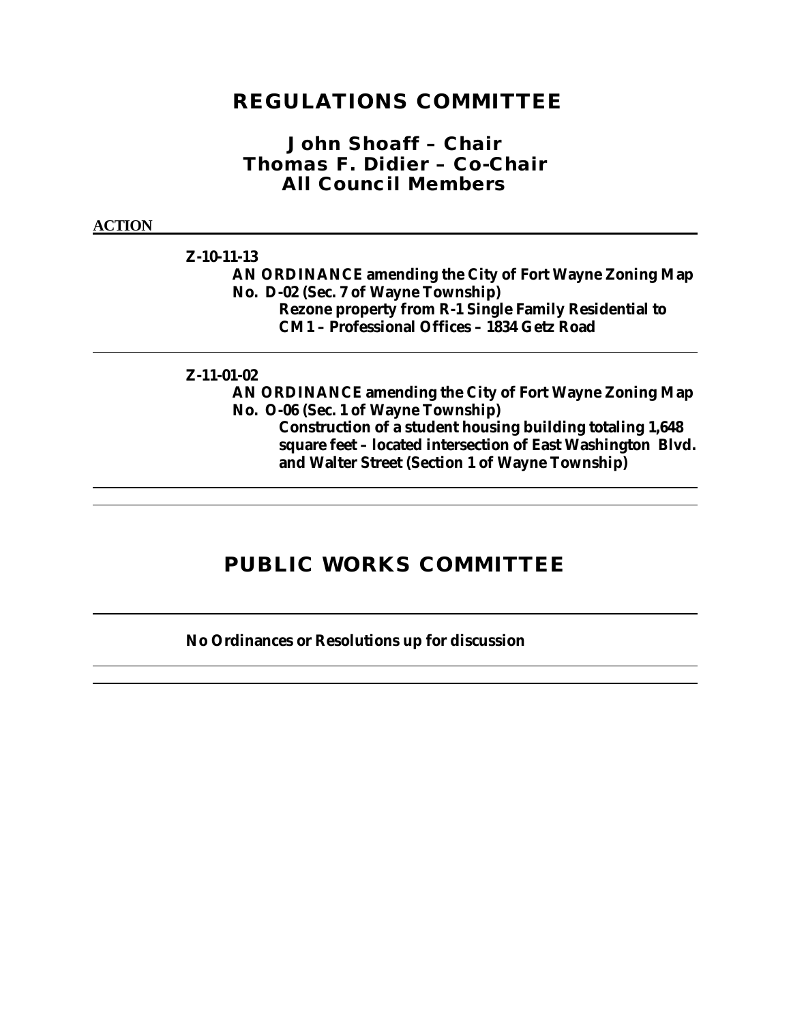## **REGULATIONS COMMITTEE**

### *John Shoaff – Chair Thomas F. Didier – Co-Chair All Council Members*

#### **ACTION**

### **Z-10-11-13**

**AN ORDINANCE amending the City of Fort Wayne Zoning Map No. D-02 (Sec. 7 of Wayne Township) Rezone property from R-1 Single Family Residential to CM1 – Professional Offices – 1834 Getz Road**

#### **Z-11-01-02**

**AN ORDINANCE amending the City of Fort Wayne Zoning Map No. O-06 (Sec. 1 of Wayne Township)**

**Construction of a student housing building totaling 1,648 square feet – located intersection of East Washington Blvd. and Walter Street (Section 1 of Wayne Township)**

# **PUBLIC WORKS COMMITTEE**

### **No Ordinances or Resolutions up for discussion**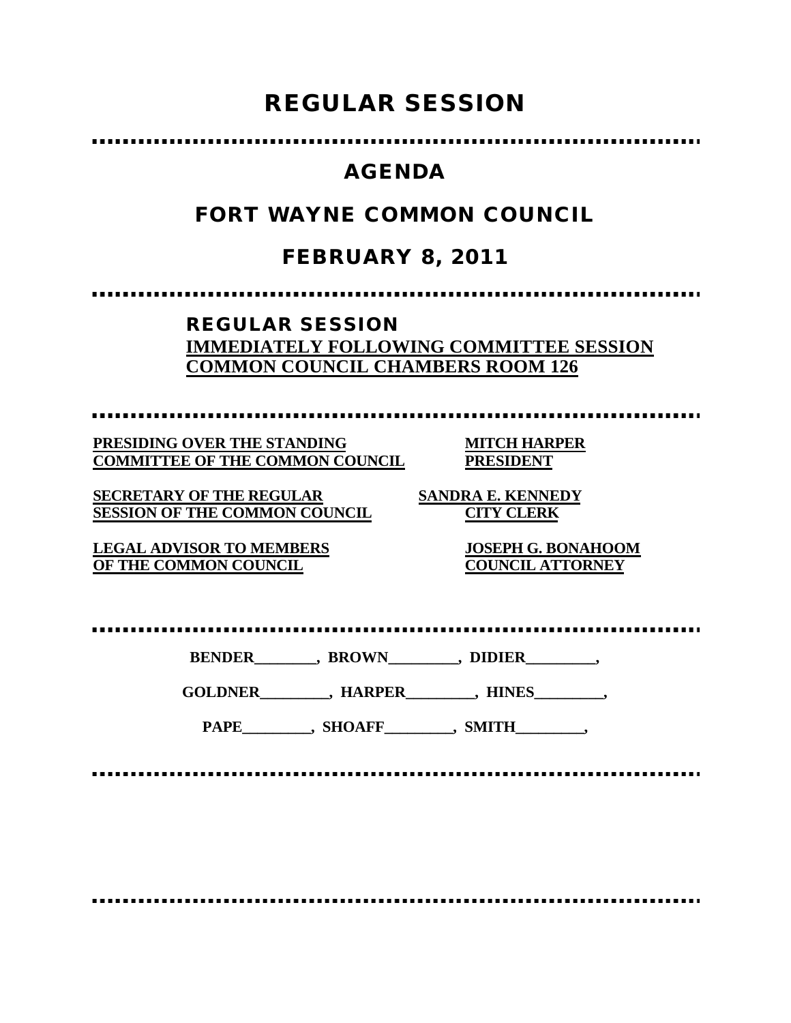# **REGULAR SESSION**

# **AGENDA**

# **FORT WAYNE COMMON COUNCIL**

# **FEBRUARY 8, 2011**

### **REGULAR SESSION IMMEDIATELY FOLLOWING COMMITTEE SESSION COMMON COUNCIL CHAMBERS ROOM 126**

**PRESIDING OVER THE STANDING MITCH HARPER COMMITTEE OF THE COMMON COUNCIL PRESIDENT**

**SECRETARY OF THE REGULAR SANDRA E. KENNEDY SESSION OF THE COMMON COUNCIL CITY CLERK**

**OF THE COMMON COUNCIL** 

**LEGAL ADVISOR TO MEMBERS JOSEPH G. BONAHOOM**

**BENDER\_\_\_\_\_\_\_\_, BROWN\_\_\_\_\_\_\_\_\_, DIDIER\_\_\_\_\_\_\_\_\_,**

**GOLDNER\_\_\_\_\_\_\_\_\_, HARPER\_\_\_\_\_\_\_\_\_, HINES\_\_\_\_\_\_\_\_\_,**

PAPE\_\_\_\_\_\_\_\_, SHOAFF\_\_\_\_\_\_\_\_, SMITH\_\_\_\_\_\_\_\_,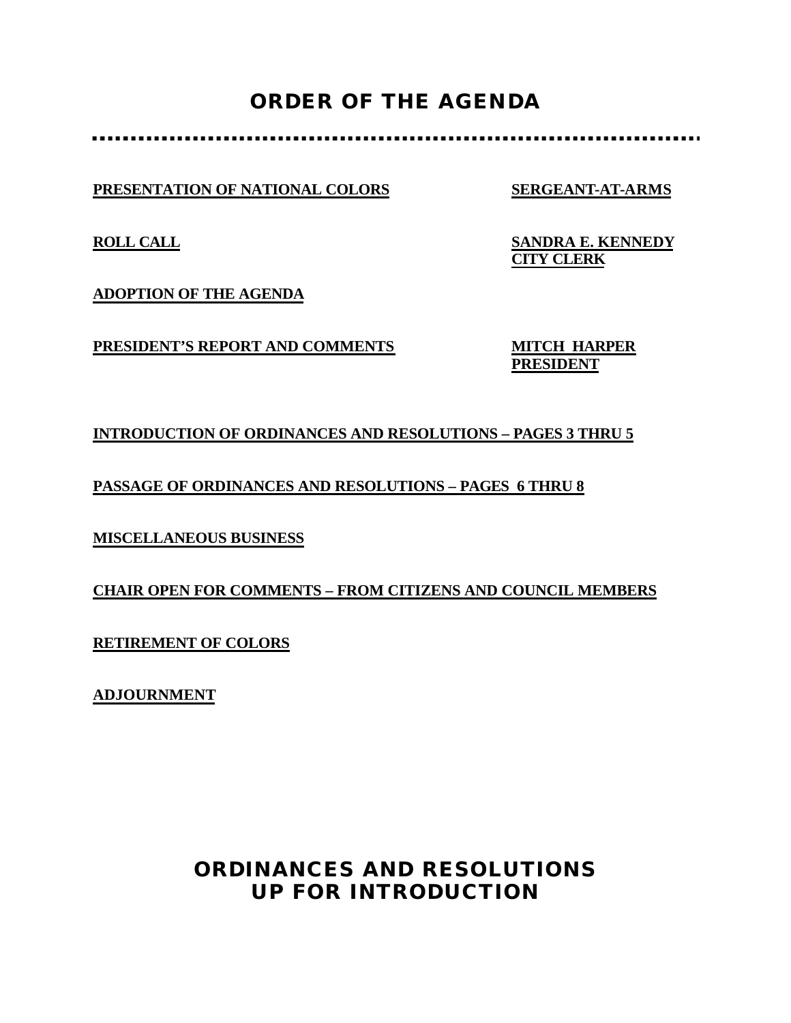# **ORDER OF THE AGENDA**

**PRESENTATION OF NATIONAL COLORS SERGEANT-AT-ARMS**

**ROLL CALL SANDRA E. KENNEDY CITY CLERK**

**ADOPTION OF THE AGENDA**

**PRESIDENT'S REPORT AND COMMENTS MITCH HARPER** 

**PRESIDENT**

### **INTRODUCTION OF ORDINANCES AND RESOLUTIONS – PAGES 3 THRU 5**

**PASSAGE OF ORDINANCES AND RESOLUTIONS – PAGES 6 THRU 8**

**MISCELLANEOUS BUSINESS**

**CHAIR OPEN FOR COMMENTS – FROM CITIZENS AND COUNCIL MEMBERS**

**RETIREMENT OF COLORS**

**ADJOURNMENT**

# **ORDINANCES AND RESOLUTIONS UP FOR INTRODUCTION**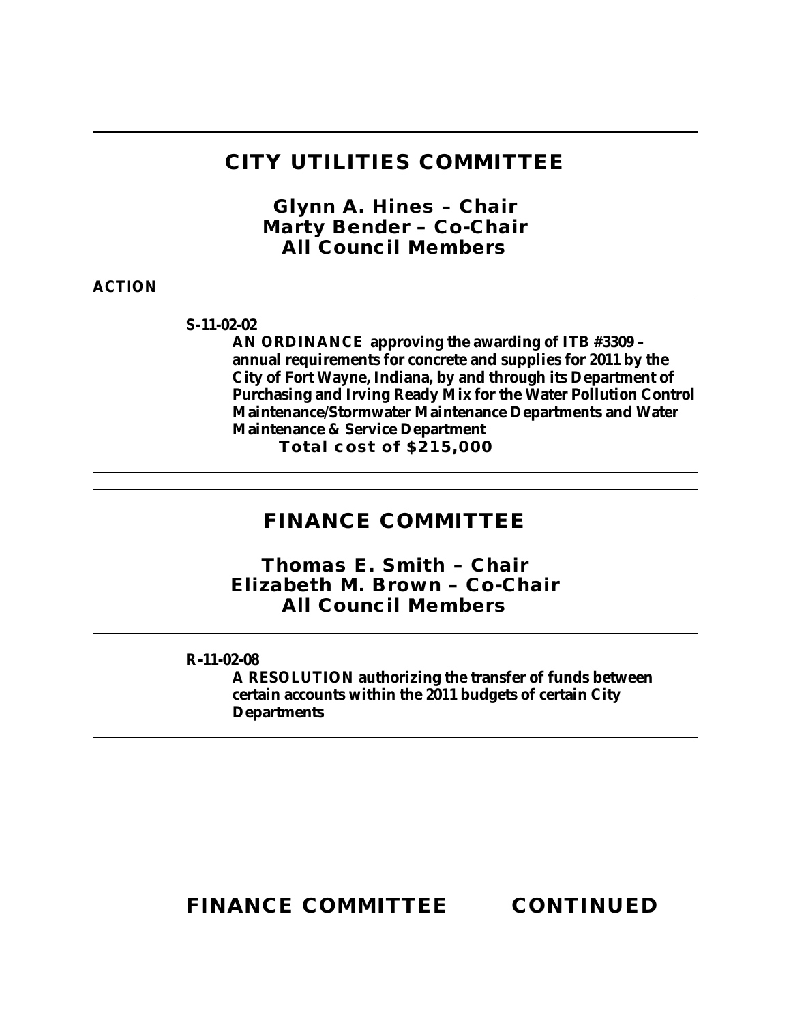## **CITY UTILITIES COMMITTEE**

*Glynn A. Hines – Chair Marty Bender – Co-Chair All Council Members*

### **ACTION**

**S-11-02-02**

**AN ORDINANCE approving the awarding of ITB #3309 – annual requirements for concrete and supplies for 2011 by the City of Fort Wayne, Indiana, by and through its Department of Purchasing and Irving Ready Mix for the Water Pollution Control Maintenance/Stormwater Maintenance Departments and Water Maintenance & Service Department**

**Total cost of \$215,000**

## **FINANCE COMMITTEE**

*Thomas E. Smith – Chair Elizabeth M. Brown – Co-Chair All Council Members*

**R-11-02-08**

**A RESOLUTION authorizing the transfer of funds between certain accounts within the 2011 budgets of certain City Departments**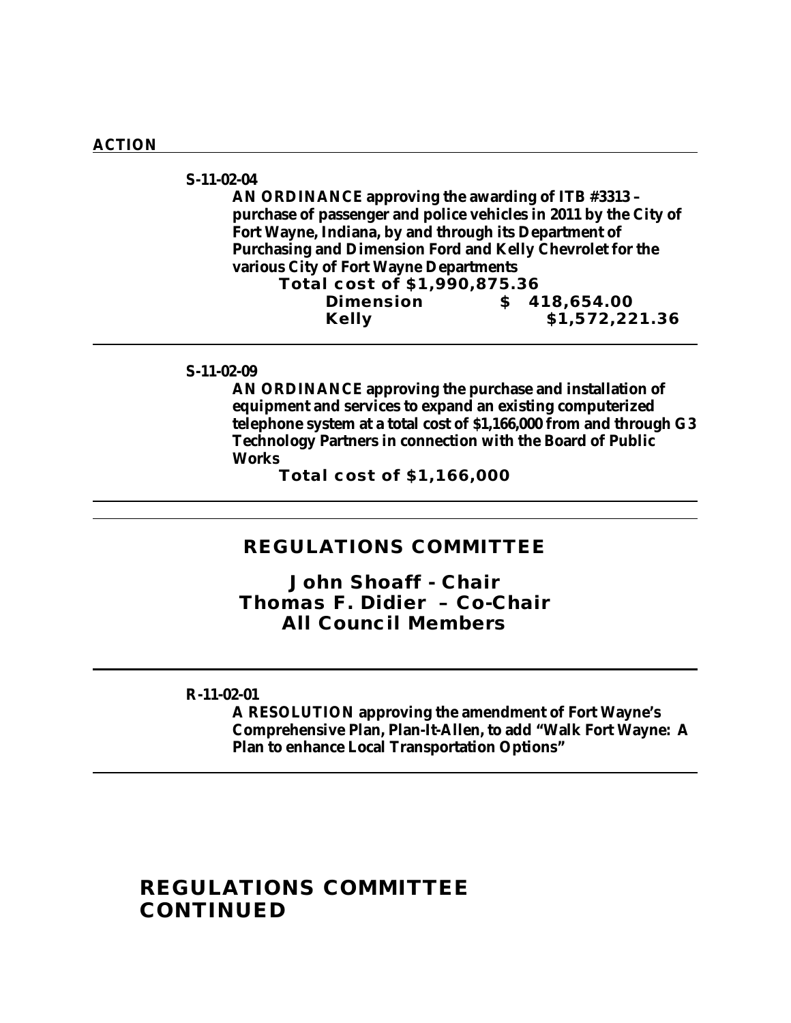#### **ACTION**

#### **S-11-02-04**

**AN ORDINANCE approving the awarding of ITB #3313 – purchase of passenger and police vehicles in 2011 by the City of Fort Wayne, Indiana, by and through its Department of Purchasing and Dimension Ford and Kelly Chevrolet for the various City of Fort Wayne Departments Total cost of \$1,990,875.36**

**Dimension \$ 418,654.00 Kelly \$1,572,221.36**

#### **S-11-02-09**

**AN ORDINANCE approving the purchase and installation of equipment and services to expand an existing computerized telephone system at a total cost of \$1,166,000 from and through G3 Technology Partners in connection with the Board of Public Works**

**Total cost of \$1,166,000**

### **REGULATIONS COMMITTEE**

*John Shoaff - Chair Thomas F. Didier – Co-Chair All Council Members*

#### **R-11-02-01**

**A RESOLUTION approving the amendment of Fort Wayne's Comprehensive Plan, Plan-It-Allen, to add "Walk Fort Wayne: A Plan to enhance Local Transportation Options"**

### **REGULATIONS COMMITTEE CONTINUED**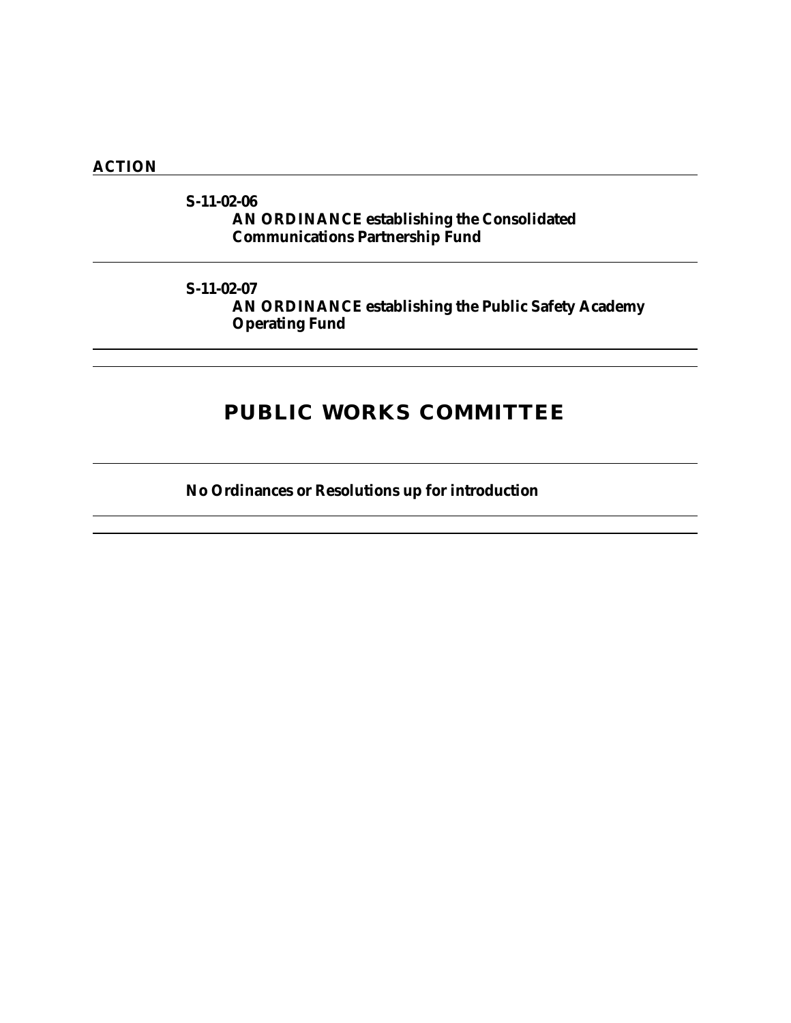### **ACTION**

### **S-11-02-06 AN ORDINANCE establishing the Consolidated Communications Partnership Fund**

### **S-11-02-07**

**AN ORDINANCE establishing the Public Safety Academy Operating Fund**

# **PUBLIC WORKS COMMITTEE**

**No Ordinances or Resolutions up for introduction**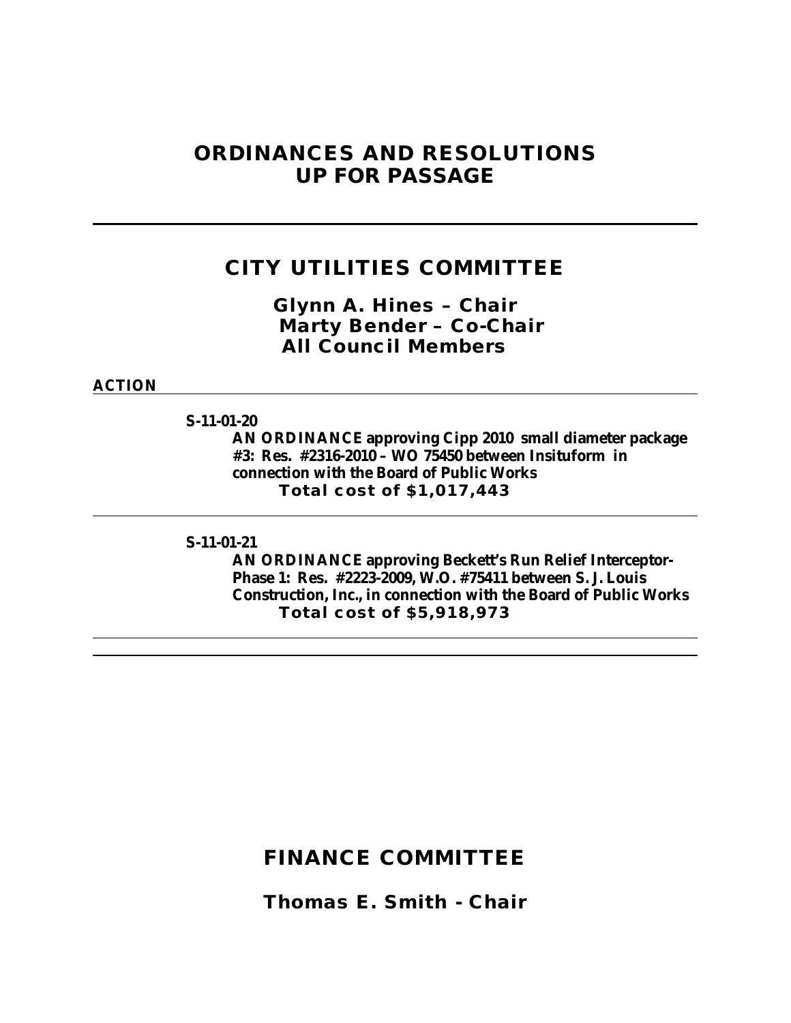## **ORDINANCES AND RESOLUTIONS UP FOR PASSAGE**

## **CITY UTILITIES COMMITTEE**

*Glynn A. Hines – Chair Marty Bender – Co-Chair All Council Members*

**ACTION**

**S-11-01-20**

**AN ORDINANCE approving Cipp 2010 small diameter package #3: Res. #2316-2010 – WO 75450 between Insituform in connection with the Board of Public Works Total cost of \$1,017,443**

**S-11-01-21**

**AN ORDINANCE approving Beckett's Run Relief Interceptor-Phase 1: Res. #2223-2009, W.O. #75411 between S. J. Louis Construction, Inc., in connection with the Board of Public Works Total cost of \$5,918,973**

### **FINANCE COMMITTEE**

*Thomas E. Smith - Chair*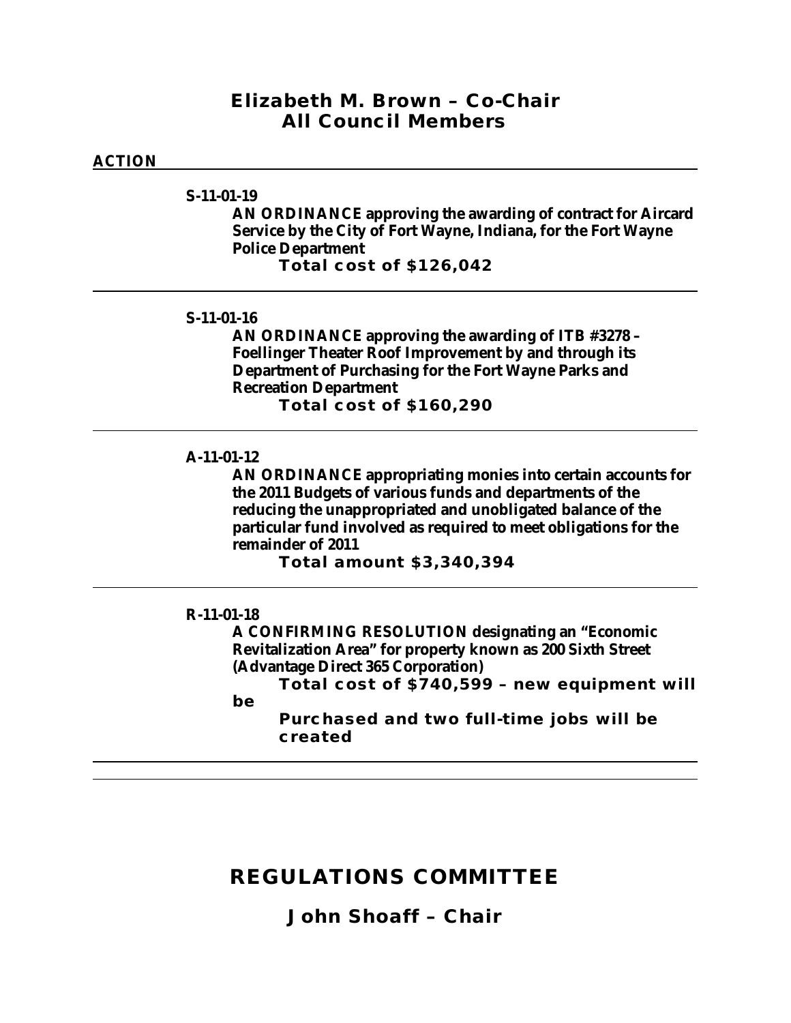### *Elizabeth M. Brown – Co-Chair All Council Members*

### **ACTION**

**S-11-01-19**

**AN ORDINANCE approving the awarding of contract for Aircard Service by the City of Fort Wayne, Indiana, for the Fort Wayne Police Department Total cost of \$126,042**

#### **S-11-01-16**

**AN ORDINANCE approving the awarding of ITB #3278 – Foellinger Theater Roof Improvement by and through its Department of Purchasing for the Fort Wayne Parks and Recreation Department Total cost of \$160,290**

#### **A-11-01-12**

**AN ORDINANCE appropriating monies into certain accounts for the 2011 Budgets of various funds and departments of the reducing the unappropriated and unobligated balance of the particular fund involved as required to meet obligations for the remainder of 2011**

**Total amount \$3,340,394**

#### **R-11-01-18**

**A CONFIRMING RESOLUTION designating an "Economic Revitalization Area" for property known as 200 Sixth Street (Advantage Direct 365 Corporation)**

**Total cost of \$740,599 – new equipment will** 

**be** 

**Purchased and two full-time jobs will be created**

# **REGULATIONS COMMITTEE**

*John Shoaff – Chair*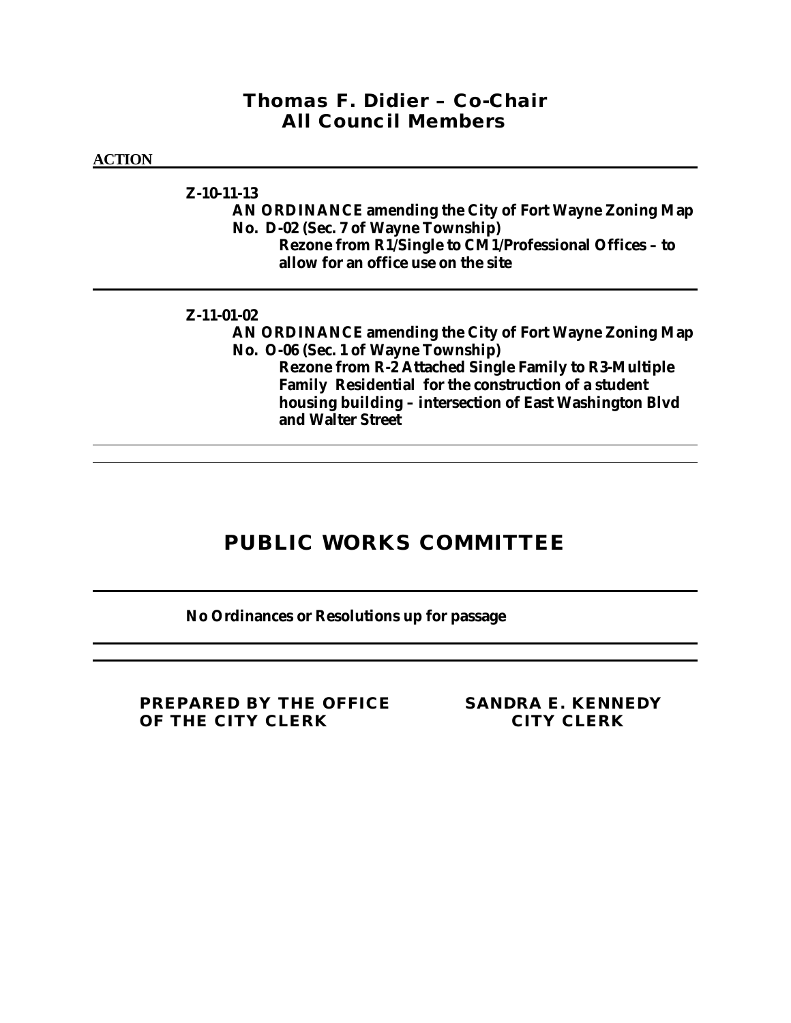### *Thomas F. Didier – Co-Chair All Council Members*

### **ACTION**

### **Z-10-11-13**

**AN ORDINANCE amending the City of Fort Wayne Zoning Map No. D-02 (Sec. 7 of Wayne Township) Rezone from R1/Single to CM1/Professional Offices – to allow for an office use on the site**

### **Z-11-01-02**

**AN ORDINANCE amending the City of Fort Wayne Zoning Map No. O-06 (Sec. 1 of Wayne Township) Rezone from R-2 Attached Single Family to R3-Multiple Family Residential for the construction of a student housing building – intersection of East Washington Blvd and Walter Street**

# **PUBLIC WORKS COMMITTEE**

### **No Ordinances or Resolutions up for passage**

**PREPARED BY THE OFFICE SANDRA E. KENNEDY OF THE CITY CLERK CITY CLERK**